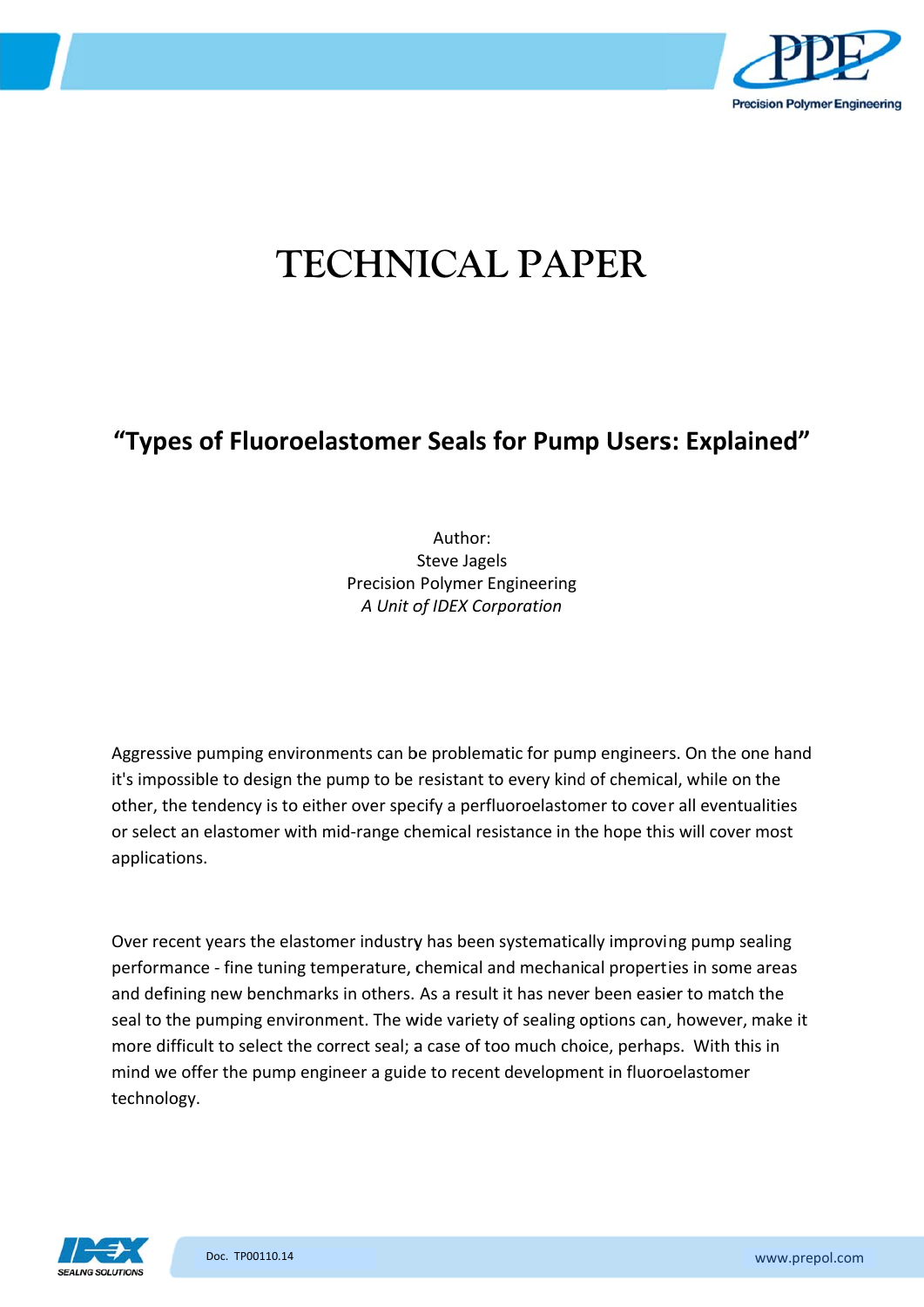

# **TECHNICAL PAPER**

## "Types of Fluoroelastomer Seals for Pump Users: Explained"

Author: Steve Jagels **Precision Polymer Engineering** A Unit of IDEX Corporation

Aggressive pumping environments can be problematic for pump engineers. On the one hand it's impossible to design the pump to be resistant to every kind of chemical, while on the other, the tendency is to either over specify a perfluoroelastomer to cover all eventualities or select an elastomer with mid-range chemical resistance in the hope this will cover most applications.

Over recent years the elastomer industry has been systematically improving pump sealing performance - fine tuning temperature, chemical and mechanical properties in some areas and defining new benchmarks in others. As a result it has never been easier to match the seal to the pumping environment. The wide variety of sealing options can, however, make it more difficult to select the correct seal; a case of too much choice, perhaps. With this in mind we offer the pump engineer a guide to recent development in fluoroelastomer technology.

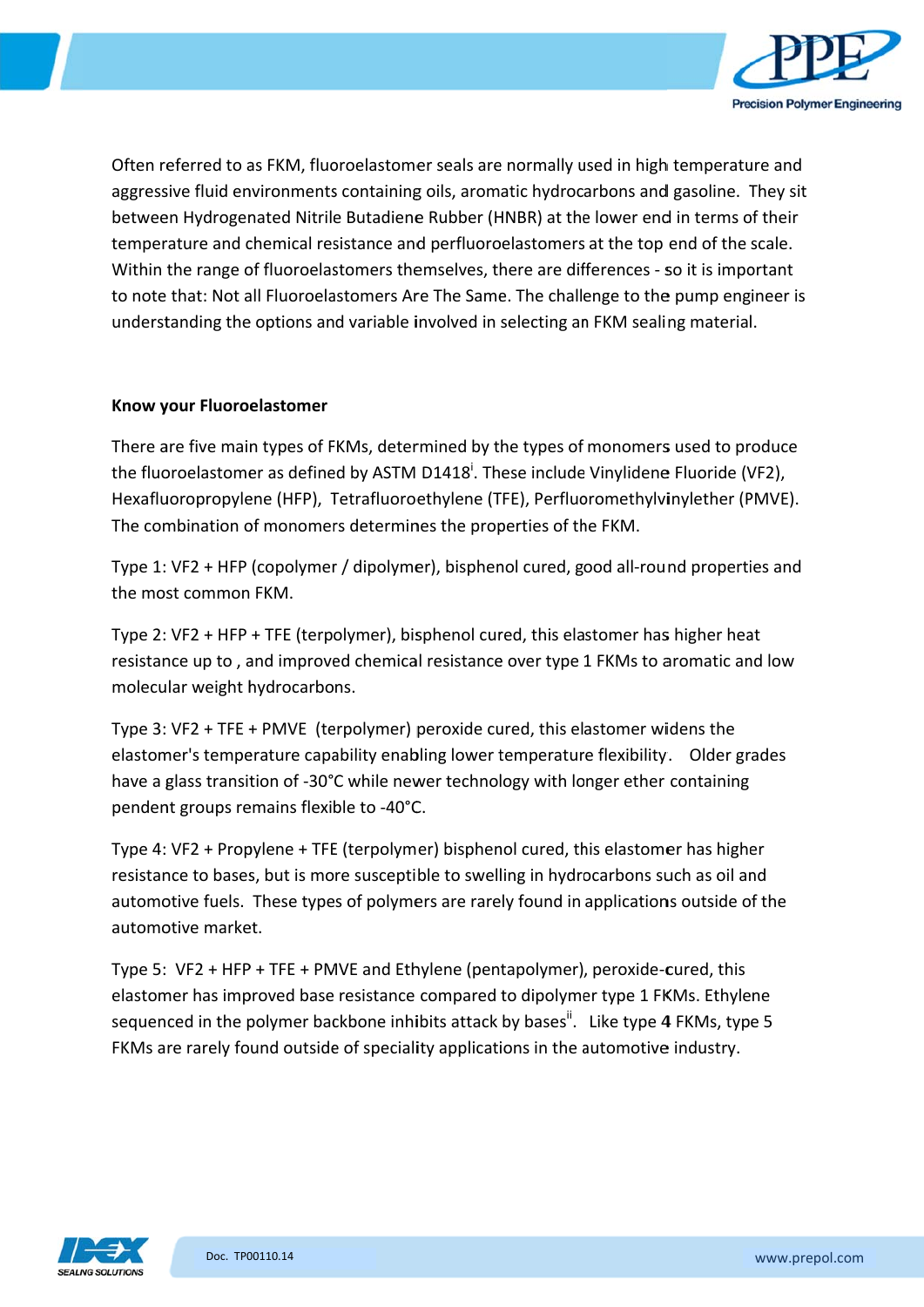

Often referred to as FKM, fluoroelastomer seals are normally used in high temperature and aggressive fluid environments containing oils, aromatic hydrocarbons and gasoline. They sit between Hydrogenated Nitrile Butadiene Rubber (HNBR) at the lower end in terms of their temperature and chemical resistance and perfluoroelastomers at the top end of the scale. Within the range of fluoroelastomers themselves, there are differences - so it is important to note that: Not all Fluoroelastomers Are The Same. The challenge to the pump engineer is understanding the options and variable involved in selecting an FKM sealing material.

#### **Know your Fluoroelastomer**

There are five main types of FKMs, determined by the types of monomers used to produce the fluoroelastomer as defined by ASTM D1418<sup>1</sup>. These include Vinylidene Fluoride (VF2), Hexafluoropropylene (HFP), Tetrafluoroethylene (TFE), Perfluoromethylvinylether (PMVE). The combination of monomers determines the properties of the FKM.

Type 1: VF2 + HFP (copolymer / dipolymer), bisphenol cured, good all-round properties and the most common FKM.

Type 2: VF2 + HFP + TFE (terpolymer), bisphenol cured, this elastomer has higher heat resistance up to, and improved chemical resistance over type 1 FKMs to aromatic and low molecular weight hydrocarbons.

Type 3: VF2 + TFE + PMVE (terpolymer) peroxide cured, this elastomer widens the elastomer's temperature capability enabling lower temperature flexibility. Older grades have a glass transition of -30°C while newer technology with longer ether containing pendent groups remains flexible to -40°C.

Type 4: VF2 + Propylene + TFE (terpolymer) bisphenol cured, this elastomer has higher resistance to bases, but is more susceptible to swelling in hydrocarbons such as oil and automotive fuels. These types of polymers are rarely found in applications outside of the automotive market.

Type 5: VF2 + HFP + TFE + PMVE and Ethylene (pentapolymer), peroxide-cured, this elastomer has improved base resistance compared to dipolymer type 1 FKMs. Ethylene sequenced in the polymer backbone inhibits attack by bases". Like type 4 FKMs, type 5 FKMs are rarely found outside of speciality applications in the automotive industry.

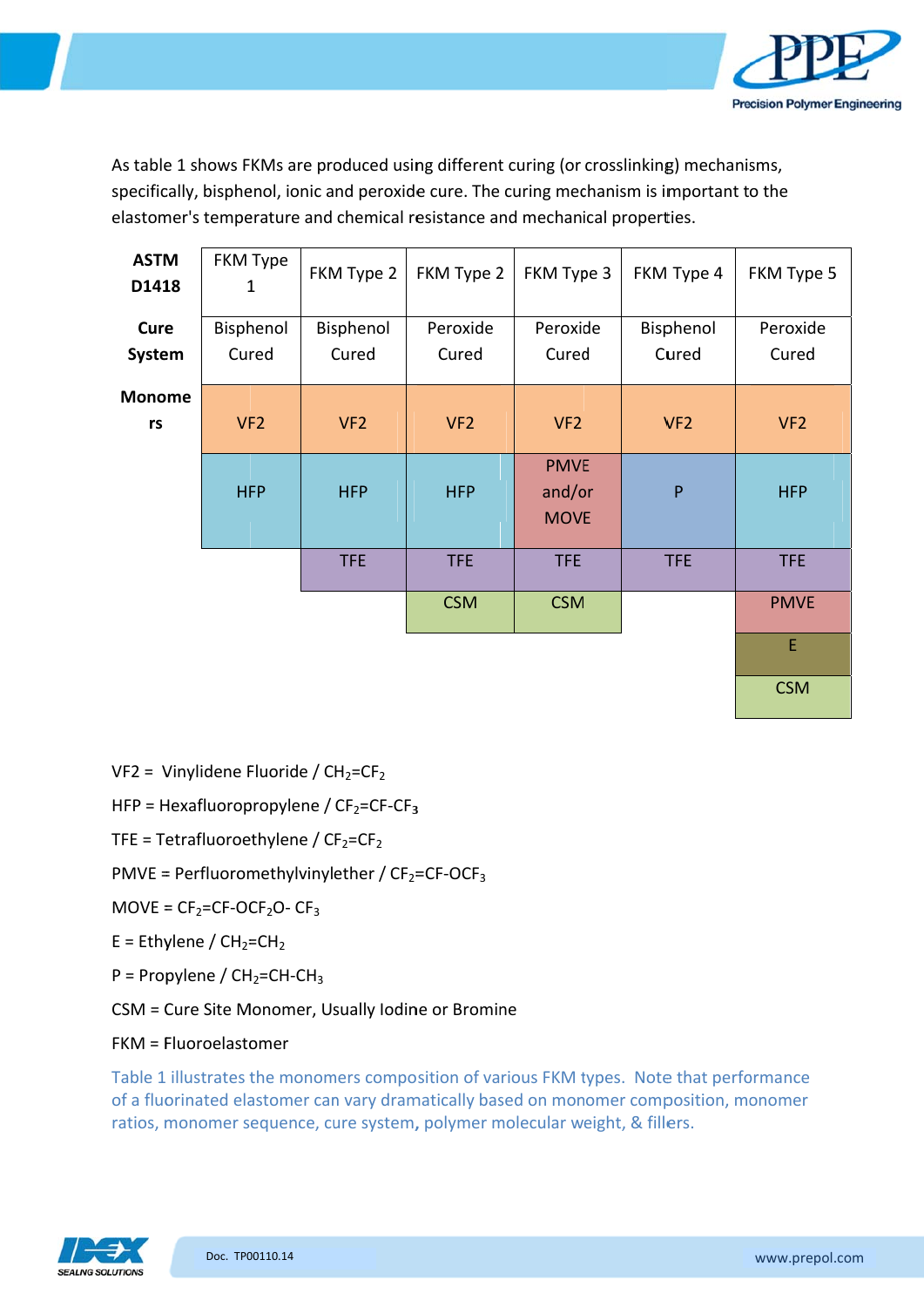

As table 1 shows FKMs are produced using different curing (or crosslinking) mechanisms, specifically, bisphenol, ionic and peroxide cure. The curing mechanism is important to the elastomer's temperature and chemical resistance and mechanical properties.

| <b>ASTM</b><br>D1418 | FKM Type<br>1   | FKM Type 2      | FKM Type 2      | FKM Type 3                           | FKM Type 4      | FKM Type 5      |
|----------------------|-----------------|-----------------|-----------------|--------------------------------------|-----------------|-----------------|
| Cure                 | Bisphenol       | Bisphenol       | Peroxide        | Peroxide                             | Bisphenol       | Peroxide        |
| <b>System</b>        | Cured           | Cured           | Cured           | Cured                                | Cured           | Cured           |
| <b>Monome</b><br>rs  | VF <sub>2</sub> | VF <sub>2</sub> | VF <sub>2</sub> | VF <sub>2</sub>                      | VF <sub>2</sub> | VF <sub>2</sub> |
|                      | <b>HFP</b>      | <b>HFP</b>      | <b>HFP</b>      | <b>PMVE</b><br>and/or<br><b>MOVE</b> | $\mathsf{P}$    | <b>HFP</b>      |
|                      |                 | <b>TFE</b>      | <b>TFE</b>      | <b>TFE</b>                           | <b>TFE</b>      | <b>TFE</b>      |
|                      |                 |                 | <b>CSM</b>      | <b>CSM</b>                           |                 | <b>PMVE</b>     |
|                      |                 |                 |                 |                                      |                 | E               |
|                      |                 |                 |                 |                                      |                 | <b>CSM</b>      |

- VF2 = Vinylidene Fluoride /  $CH_2=CF_2$
- HFP = Hexafluoropropylene /  $CF_2=CF-CF_3$
- TFE = Tetrafluoroethylene /  $CF_2 = CF_2$
- PMVE = Perfluoromethylvinylether /  $CF_2=CF-OCF_3$
- MOVE =  $CF_2 = CF$ -OCF<sub>2</sub>O-CF<sub>3</sub>
- $E =$  Ethylene /  $CH_2 = CH_2$
- P = Propylene /  $CH<sub>2</sub>=CH-CH<sub>3</sub>$

CSM = Cure Site Monomer, Usually Iodine or Bromine

### FKM = Fluoroelastomer

Table 1 illustrates the monomers composition of various FKM types. Note that performance of a fluorinated elastomer can vary dramatically based on monomer composition, monomer ratios, monomer sequence, cure system, polymer molecular weight, & fillers.